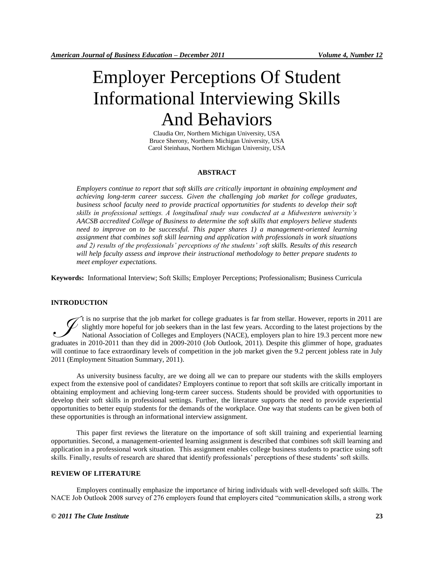# Employer Perceptions Of Student Informational Interviewing Skills And Behaviors

Claudia Orr, Northern Michigan University, USA Bruce Sherony, Northern Michigan University, USA Carol Steinhaus, Northern Michigan University, USA

# **ABSTRACT**

*Employers continue to report that soft skills are critically important in obtaining employment and achieving long-term career success. Given the challenging job market for college graduates, business school faculty need to provide practical opportunities for students to develop their soft skills in professional settings. A longitudinal study was conducted at a Midwestern university's AACSB accredited College of Business to determine the soft skills that employers believe students need to improve on to be successful. This paper shares 1) a management-oriented learning assignment that combines soft skill learning and application with professionals in work situations and 2) results of the professionals' perceptions of the students' soft skills. Results of this research will help faculty assess and improve their instructional methodology to better prepare students to meet employer expectations.* 

**Keywords:** Informational Interview; Soft Skills; Employer Perceptions; Professionalism; Business Curricula

# **INTRODUCTION**

t is no surprise that the job market for college graduates is far from stellar. However, reports in 2011 are  $\ell$  slightly more hopeful for job seekers than in the last few years. According to the latest projections by the National Association of Colleges and Employers (NACE), employers plan to hire 19.3 percent more new It is no surprise that the job market for college graduates is far from stellar. However, reports in 2011 are slightly more hopeful for job seekers than in the last few years. According to the latest projections by the Nat will continue to face extraordinary levels of competition in the job market given the 9.2 percent jobless rate in July 2011 (Employment Situation Summary, 2011).

As university business faculty, are we doing all we can to prepare our students with the skills employers expect from the extensive pool of candidates? Employers continue to report that soft skills are critically important in obtaining employment and achieving long-term career success. Students should be provided with opportunities to develop their soft skills in professional settings. Further, the literature supports the need to provide experiential opportunities to better equip students for the demands of the workplace. One way that students can be given both of these opportunities is through an informational interview assignment.

This paper first reviews the literature on the importance of soft skill training and experiential learning opportunities. Second, a management-oriented learning assignment is described that combines soft skill learning and application in a professional work situation. This assignment enables college business students to practice using soft skills. Finally, results of research are shared that identify professionals' perceptions of these students' soft skills.

#### **REVIEW OF LITERATURE**

Employers continually emphasize the importance of hiring individuals with well-developed soft skills. The NACE Job Outlook 2008 survey of 276 employers found that employers cited "communication skills, a strong work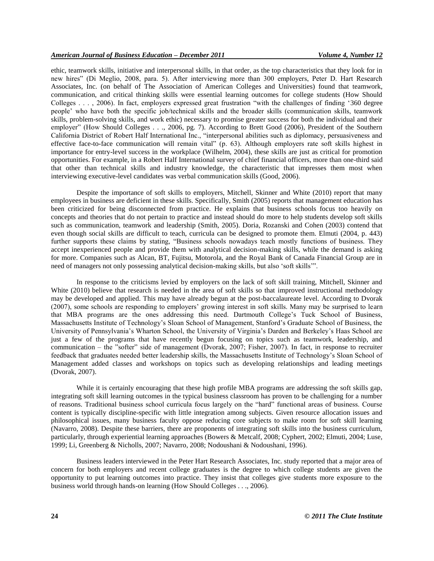ethic, teamwork skills, initiative and interpersonal skills, in that order, as the top characteristics that they look for in new hires" (Di Meglio, 2008, para. 5). After interviewing more than 300 employers, Peter D. Hart Research Associates, Inc. (on behalf of The Association of American Colleges and Universities) found that teamwork, communication, and critical thinking skills were essential learning outcomes for college students (How Should Colleges . . . , 2006). In fact, employers expressed great frustration "with the challenges of finding "360 degree people" who have both the specific job/technical skills and the broader skills (communication skills, teamwork skills, problem-solving skills, and work ethic) necessary to promise greater success for both the individual and their employer" (How Should Colleges . . ., 2006, pg. 7). According to Brett Good (2006), President of the Southern California District of Robert Half International Inc., "interpersonal abilities such as diplomacy, persuasiveness and effective face-to-face communication will remain vital" (p. 63). Although employers rate soft skills highest in importance for entry-level success in the workplace (Wilhelm, 2004), these skills are just as critical for promotion opportunities. For example, in a Robert Half International survey of chief financial officers, more than one-third said that other than technical skills and industry knowledge, the characteristic that impresses them most when interviewing executive-level candidates was verbal communication skills (Good, 2006).

Despite the importance of soft skills to employers, Mitchell, Skinner and White (2010) report that many employees in business are deficient in these skills. Specifically, Smith (2005) reports that management education has been criticized for being disconnected from practice. He explains that business schools focus too heavily on concepts and theories that do not pertain to practice and instead should do more to help students develop soft skills such as communication, teamwork and leadership (Smith, 2005). Doria, Rozanski and Cohen (2003) contend that even though social skills are difficult to teach, curricula can be designed to promote them. Elmuti (2004, p. 443) further supports these claims by stating, "Business schools nowadays teach mostly functions of business. They accept inexperienced people and provide them with analytical decision-making skills, while the demand is asking for more. Companies such as Alcan, BT, Fujitsu, Motorola, and the Royal Bank of Canada Financial Group are in need of managers not only possessing analytical decision-making skills, but also "soft skills"".

In response to the criticisms levied by employers on the lack of soft skill training, Mitchell, Skinner and White (2010) believe that research is needed in the area of soft skills so that improved instructional methodology may be developed and applied. This may have already begun at the post-baccalaureate level. According to Dvorak (2007), some schools are responding to employers' growing interest in soft skills. Many may be surprised to learn that MBA programs are the ones addressing this need. Dartmouth College"s Tuck School of Business, Massachusetts Institute of Technology"s Sloan School of Management, Stanford"s Graduate School of Business, the University of Pennsylvania"s Wharton School, the University of Virginia"s Darden and Berkeley"s Haas School are just a few of the programs that have recently begun focusing on topics such as teamwork, leadership, and communication – the "softer" side of management (Dvorak, 2007; Fisher, 2007). In fact, in response to recruiter feedback that graduates needed better leadership skills, the Massachusetts Institute of Technology"s Sloan School of Management added classes and workshops on topics such as developing relationships and leading meetings (Dvorak, 2007).

While it is certainly encouraging that these high profile MBA programs are addressing the soft skills gap, integrating soft skill learning outcomes in the typical business classroom has proven to be challenging for a number of reasons. Traditional business school curricula focus largely on the "hard" functional areas of business. Course content is typically discipline-specific with little integration among subjects. Given resource allocation issues and philosophical issues, many business faculty oppose reducing core subjects to make room for soft skill learning (Navarro, 2008). Despite these barriers, there are proponents of integrating soft skills into the business curriculum, particularly, through experiential learning approaches (Bowers & Metcalf, 2008; Cyphert, 2002; Elmuti, 2004; Luse, 1999; Li, Greenberg & Nicholls, 2007; Navarro, 2008; Nodoushani & Nodoushani, 1996).

Business leaders interviewed in the Peter Hart Research Associates, Inc. study reported that a major area of concern for both employers and recent college graduates is the degree to which college students are given the opportunity to put learning outcomes into practice. They insist that colleges give students more exposure to the business world through hands-on learning (How Should Colleges . . ., 2006).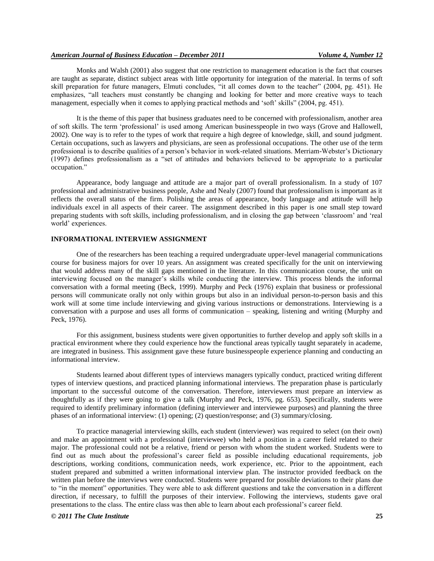# *American Journal of Business Education – December 2011 Volume 4, Number 12*

Monks and Walsh (2001) also suggest that one restriction to management education is the fact that courses are taught as separate, distinct subject areas with little opportunity for integration of the material. In terms of soft skill preparation for future managers, Elmuti concludes, "it all comes down to the teacher" (2004, pg. 451). He emphasizes, "all teachers must constantly be changing and looking for better and more creative ways to teach management, especially when it comes to applying practical methods and 'soft' skills" (2004, pg. 451).

It is the theme of this paper that business graduates need to be concerned with professionalism, another area of soft skills. The term "professional" is used among American businesspeople in two ways (Grove and Hallowell, 2002). One way is to refer to the types of work that require a high degree of knowledge, skill, and sound judgment. Certain occupations, such as lawyers and physicians, are seen as professional occupations. The other use of the term professional is to describe qualities of a person"s behavior in work-related situations. Merriam-Webster"s Dictionary (1997) defines professionalism as a "set of attitudes and behaviors believed to be appropriate to a particular occupation."

Appearance, body language and attitude are a major part of overall professionalism. In a study of 107 professional and administrative business people, Ashe and Nealy (2007) found that professionalism is important as it reflects the overall status of the firm. Polishing the areas of appearance, body language and attitude will help individuals excel in all aspects of their career. The assignment described in this paper is one small step toward preparing students with soft skills, including professionalism, and in closing the gap between "classroom" and "real world' experiences.

# **INFORMATIONAL INTERVIEW ASSIGNMENT**

One of the researchers has been teaching a required undergraduate upper-level managerial communications course for business majors for over 10 years. An assignment was created specifically for the unit on interviewing that would address many of the skill gaps mentioned in the literature. In this communication course, the unit on interviewing focused on the manager"s skills while conducting the interview. This process blends the informal conversation with a formal meeting (Beck, 1999). Murphy and Peck (1976) explain that business or professional persons will communicate orally not only within groups but also in an individual person-to-person basis and this work will at some time include interviewing and giving various instructions or demonstrations. Interviewing is a conversation with a purpose and uses all forms of communication – speaking, listening and writing (Murphy and Peck, 1976).

For this assignment, business students were given opportunities to further develop and apply soft skills in a practical environment where they could experience how the functional areas typically taught separately in academe, are integrated in business. This assignment gave these future businesspeople experience planning and conducting an informational interview.

Students learned about different types of interviews managers typically conduct, practiced writing different types of interview questions, and practiced planning informational interviews. The preparation phase is particularly important to the successful outcome of the conversation. Therefore, interviewers must prepare an interview as thoughtfully as if they were going to give a talk (Murphy and Peck, 1976, pg. 653). Specifically, students were required to identify preliminary information (defining interviewer and interviewee purposes) and planning the three phases of an informational interview: (1) opening; (2) question/response; and (3) summary/closing.

To practice managerial interviewing skills, each student (interviewer) was required to select (on their own) and make an appointment with a professional (interviewee) who held a position in a career field related to their major. The professional could not be a relative, friend or person with whom the student worked. Students were to find out as much about the professional"s career field as possible including educational requirements, job descriptions, working conditions, communication needs, work experience, etc. Prior to the appointment, each student prepared and submitted a written informational interview plan. The instructor provided feedback on the written plan before the interviews were conducted. Students were prepared for possible deviations to their plans due to "in the moment" opportunities. They were able to ask different questions and take the conversation in a different direction, if necessary, to fulfill the purposes of their interview. Following the interviews, students gave oral presentations to the class. The entire class was then able to learn about each professional"s career field.

## *© 2011 The Clute Institute* **25**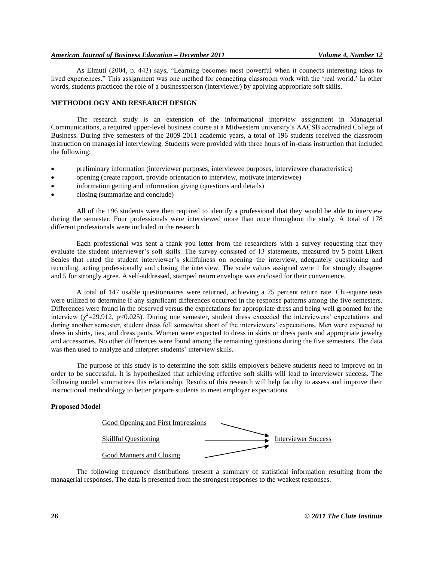# *American Journal of Business Education – December 2011 Volume 4, Number 12*

As Elmuti (2004, p. 443) says, "Learning becomes most powerful when it connects interesting ideas to lived experiences." This assignment was one method for connecting classroom work with the "real world." In other words, students practiced the role of a businessperson (interviewer) by applying appropriate soft skills.

# **METHODOLOGY AND RESEARCH DESIGN**

The research study is an extension of the informational interview assignment in Managerial Communications, a required upper-level business course at a Midwestern university"s AACSB accredited College of Business. During five semesters of the 2009-2011 academic years, a total of 196 students received the classroom instruction on managerial interviewing. Students were provided with three hours of in-class instruction that included the following:

- preliminary information (interviewer purposes, interviewee purposes, interviewee characteristics)
- opening (create rapport, provide orientation to interview, motivate interviewee)
- information getting and information giving (questions and details)
- closing (summarize and conclude)

All of the 196 students were then required to identify a professional that they would be able to interview during the semester. Four professionals were interviewed more than once throughout the study. A total of 178 different professionals were included in the research.

Each professional was sent a thank you letter from the researchers with a survey requesting that they evaluate the student interviewer"s soft skills. The survey consisted of 13 statements, measured by 5 point Likert Scales that rated the student interviewer"s skillfulness on opening the interview, adequately questioning and recording, acting professionally and closing the interview. The scale values assigned were 1 for strongly disagree and 5 for strongly agree. A self-addressed, stamped return envelope was enclosed for their convenience.

A total of 147 usable questionnaires were returned, achieving a 75 percent return rate. Chi-square tests were utilized to determine if any significant differences occurred in the response patterns among the five semesters. Differences were found in the observed versus the expectations for appropriate dress and being well groomed for the interview  $(\chi^2=29.912, p<0.025)$ . During one semester, student dress exceeded the interviewers' expectations and during another semester, student dress fell somewhat short of the interviewers" expectations. Men were expected to dress in shirts, ties, and dress pants. Women were expected to dress in skirts or dress pants and appropriate jewelry and accessories. No other differences were found among the remaining questions during the five semesters. The data was then used to analyze and interpret students' interview skills.

The purpose of this study is to determine the soft skills employers believe students need to improve on in order to be successful. It is hypothesized that achieving effective soft skills will lead to interviewer success. The following model summarizes this relationship. Results of this research will help faculty to assess and improve their instructional methodology to better prepare students to meet employer expectations.

#### **Proposed Model**



The following frequency distributions present a summary of statistical information resulting from the managerial responses. The data is presented from the strongest responses to the weakest responses.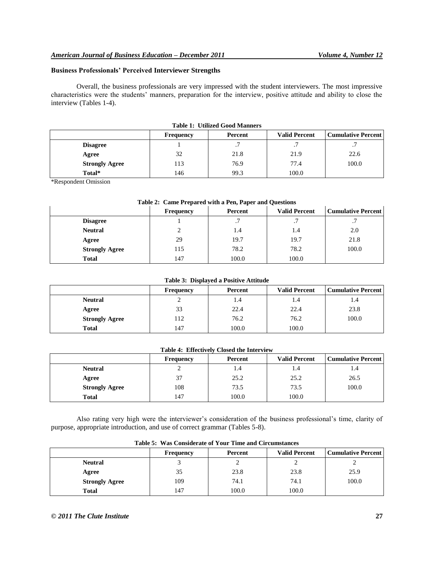# **Business Professionals' Perceived Interviewer Strengths**

Overall, the business professionals are very impressed with the student interviewers. The most impressive characteristics were the students" manners, preparation for the interview, positive attitude and ability to close the interview (Tables 1-4).

| Table 1. Othized Good Manners |           |                 |                      |                           |  |
|-------------------------------|-----------|-----------------|----------------------|---------------------------|--|
|                               | Frequency | Percent         | <b>Valid Percent</b> | <b>Cumulative Percent</b> |  |
| <b>Disagree</b>               |           | $\cdot$ $\cdot$ |                      | $\cdot$ $\cdot$           |  |
| Agree                         | 32        | 21.8            | 21.9                 | 22.6                      |  |
| <b>Strongly Agree</b>         | 113       | 76.9            | 77.4                 | 100.0                     |  |
| Total*                        | 146       | 99.3            | 100.0                |                           |  |

# **Table 1: Utilized Good Manners**

\*Respondent Omission

# **Table 2: Came Prepared with a Pen, Paper and Questions**

|                       | Frequency | Percent | <b>Valid Percent</b> | <b>Cumulative Percent</b> |
|-----------------------|-----------|---------|----------------------|---------------------------|
| <b>Disagree</b>       |           | . .     | . .                  | $\cdot$ $\prime$          |
| <b>Neutral</b>        |           | 1.4     | 1.4                  | 2.0                       |
| Agree                 | 29        | 19.7    | 19.7                 | 21.8                      |
| <b>Strongly Agree</b> | 115       | 78.2    | 78.2                 | 100.0                     |
| <b>Total</b>          | 147       | 100.0   | 100.0                |                           |

# **Table 3: Displayed a Positive Attitude**

|                       | <b>Frequency</b> | Percent | <b>Valid Percent</b> | <b>Cumulative Percent</b> |
|-----------------------|------------------|---------|----------------------|---------------------------|
| <b>Neutral</b>        |                  | 1.4     | 1.4                  | 1.4                       |
| Agree                 | 33               | 22.4    | 22.4                 | 23.8                      |
| <b>Strongly Agree</b> | 112              | 76.2    | 76.2                 | 100.0                     |
| Total                 | 147              | 100.0   | 100.0                |                           |

# **Table 4: Effectively Closed the Interview**

|                       | <b>Frequency</b> | Percent | <b>Valid Percent</b> | <b>Cumulative Percent  </b> |
|-----------------------|------------------|---------|----------------------|-----------------------------|
| <b>Neutral</b>        |                  | 1.4     | 1.4                  | 1.4                         |
| Agree                 | 37               | 25.2    | 25.2                 | 26.5                        |
| <b>Strongly Agree</b> | 108              | 73.5    | 73.5                 | 100.0                       |
| <b>Total</b>          | 147              | 100.0   | 100.0                |                             |

Also rating very high were the interviewer"s consideration of the business professional"s time, clarity of purpose, appropriate introduction, and use of correct grammar (Tables 5-8).

| Table 5: Was Considerate of Your Time and Circumstances |           |         |                      |                             |  |
|---------------------------------------------------------|-----------|---------|----------------------|-----------------------------|--|
|                                                         | Frequency | Percent | <b>Valid Percent</b> | <b>Cumulative Percent  </b> |  |
| <b>Neutral</b>                                          |           |         |                      |                             |  |
| Agree                                                   | 35        | 23.8    | 23.8                 | 25.9                        |  |
| <b>Strongly Agree</b>                                   | 109       | 74.1    | 74.1                 | 100.0                       |  |
| <b>Total</b>                                            | 147       | 100.0   | 100.0                |                             |  |

# Table 5: Was Considerate of Vour Time and Circumst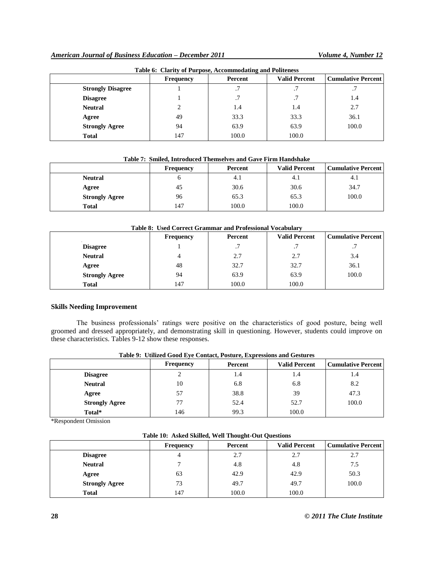| Table 0. Clarity of Furpose, Accommodating and Folleness |                  |         |                      |                           |
|----------------------------------------------------------|------------------|---------|----------------------|---------------------------|
|                                                          | <b>Frequency</b> | Percent | <b>Valid Percent</b> | <b>Cumulative Percent</b> |
| <b>Strongly Disagree</b>                                 |                  | .7      | . .                  | .7                        |
| <b>Disagree</b>                                          |                  | .7      |                      | 1.4                       |
| <b>Neutral</b>                                           |                  | 1.4     | 1.4                  | 2.7                       |
| Agree                                                    | 49               | 33.3    | 33.3                 | 36.1                      |
| <b>Strongly Agree</b>                                    | 94               | 63.9    | 63.9                 | 100.0                     |
| <b>Total</b>                                             | 147              | 100.0   | 100.0                |                           |

# **Table 6: Clarity of Purpose, Accommodating and Politeness**

# **Table 7: Smiled, Introduced Themselves and Gave Firm Handshake**

|                       | <b>Frequency</b> | Percent | <b>Valid Percent</b> | <b>Cumulative Percent</b> |
|-----------------------|------------------|---------|----------------------|---------------------------|
| <b>Neutral</b>        |                  | 4.1     | 4.1                  | 4.1                       |
| Agree                 | 45               | 30.6    | 30.6                 | 34.7                      |
| <b>Strongly Agree</b> | 96               | 65.3    | 65.3                 | 100.0                     |
| Total                 | 147              | 100.0   | 100.0                |                           |

### **Table 8: Used Correct Grammar and Professional Vocabulary**

|                       | <b>Frequency</b> | Percent | <b>Valid Percent</b> | <b>Cumulative Percent</b> |
|-----------------------|------------------|---------|----------------------|---------------------------|
| <b>Disagree</b>       |                  | . .     | $\cdot$ .            | $\cdot$ $\cdot$           |
| <b>Neutral</b>        | 4                | 2.7     | 2.7                  | 3.4                       |
| Agree                 | 48               | 32.7    | 32.7                 | 36.1                      |
| <b>Strongly Agree</b> | 94               | 63.9    | 63.9                 | 100.0                     |
| <b>Total</b>          | 147              | 100.0   | 100.0                |                           |

# **Skills Needing Improvement**

The business professionals' ratings were positive on the characteristics of good posture, being well groomed and dressed appropriately, and demonstrating skill in questioning. However, students could improve on these characteristics. Tables 9-12 show these responses.

| Table 2. Cullized Good Life Contact, I osture, Expressions and Gestures |                  |         |                      |                           |
|-------------------------------------------------------------------------|------------------|---------|----------------------|---------------------------|
|                                                                         | <b>Frequency</b> | Percent | <b>Valid Percent</b> | <b>Cumulative Percent</b> |
| <b>Disagree</b>                                                         |                  | 1.4     | 1.4                  | 1.4                       |
| <b>Neutral</b>                                                          | 10               | 6.8     | 6.8                  | 8.2                       |
| Agree                                                                   | 57               | 38.8    | 39                   | 47.3                      |
| <b>Strongly Agree</b>                                                   | 77               | 52.4    | 52.7                 | 100.0                     |
| Total*                                                                  | 146              | 99.3    | 100.0                |                           |

# **Table 9: Utilized Good Eye Contact, Posture, Expressions and Gestures**

\*Respondent Omission

# **Table 10: Asked Skilled, Well Thought-Out Questions**

|                       | Frequency | Percent | <b>Valid Percent</b> | <b>Cumulative Percent</b> |
|-----------------------|-----------|---------|----------------------|---------------------------|
| <b>Disagree</b>       | 4         | 2.7     | 2.7                  | 2.7                       |
| <b>Neutral</b>        |           | 4.8     | 4.8                  | 7.5                       |
| Agree                 | 63        | 42.9    | 42.9                 | 50.3                      |
| <b>Strongly Agree</b> | 73        | 49.7    | 49.7                 | 100.0                     |
| <b>Total</b>          | 147       | 100.0   | 100.0                |                           |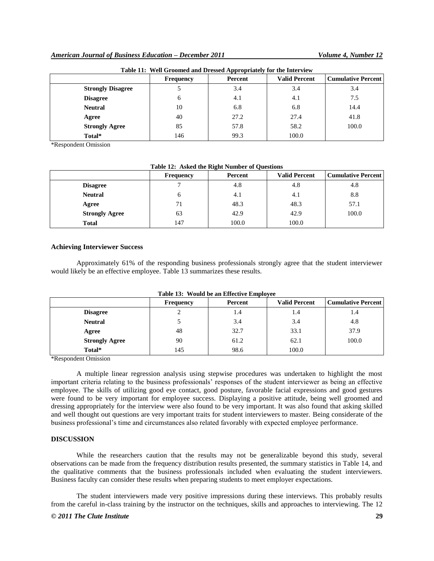| Table 11: Well Groomed and Dressed Appropriately for the Interview |                  |         |                      |                           |
|--------------------------------------------------------------------|------------------|---------|----------------------|---------------------------|
|                                                                    | <b>Frequency</b> | Percent | <b>Valid Percent</b> | <b>Cumulative Percent</b> |
| <b>Strongly Disagree</b>                                           |                  | 3.4     | 3.4                  | 3.4                       |
| <b>Disagree</b>                                                    | 6                | 4.1     | 4.1                  | 7.5                       |
| <b>Neutral</b>                                                     | 10               | 6.8     | 6.8                  | 14.4                      |
| Agree                                                              | 40               | 27.2    | 27.4                 | 41.8                      |
| <b>Strongly Agree</b>                                              | 85               | 57.8    | 58.2                 | 100.0                     |
| Total*                                                             | 146              | 99.3    | 100.0                |                           |

\*Respondent Omission

| Table 12: Asked the Right Number of Questions |                  |         |                      |                           |
|-----------------------------------------------|------------------|---------|----------------------|---------------------------|
|                                               | <b>Frequency</b> | Percent | <b>Valid Percent</b> | <b>Cumulative Percent</b> |
| <b>Disagree</b>                               |                  | 4.8     | 4.8                  | 4.8                       |
| <b>Neutral</b>                                |                  | 4.1     | 4.1                  | 8.8                       |
| Agree                                         |                  | 48.3    | 48.3                 | 57.1                      |
| <b>Strongly Agree</b>                         | 63               | 42.9    | 42.9                 | 100.0                     |
| <b>Total</b>                                  | 147              | 100.0   | 100.0                |                           |

### **Achieving Interviewer Success**

Approximately 61% of the responding business professionals strongly agree that the student interviewer would likely be an effective employee. Table 13 summarizes these results.

| Table 13: Would be an Effective Employee |                  |         |                      |                           |  |  |  |  |  |
|------------------------------------------|------------------|---------|----------------------|---------------------------|--|--|--|--|--|
|                                          | <b>Frequency</b> | Percent | <b>Valid Percent</b> | <b>Cumulative Percent</b> |  |  |  |  |  |
| <b>Disagree</b>                          |                  | 1.4     | 1.4                  | 1.4                       |  |  |  |  |  |
| <b>Neutral</b>                           |                  | 3.4     | 3.4                  | 4.8                       |  |  |  |  |  |
| Agree                                    | 48               | 32.7    | 33.1                 | 37.9                      |  |  |  |  |  |
| <b>Strongly Agree</b>                    | 90               | 61.2    | 62.1                 | 100.0                     |  |  |  |  |  |
| Total*                                   | 145              | 98.6    | 100.0                |                           |  |  |  |  |  |

\*Respondent Omission

A multiple linear regression analysis using stepwise procedures was undertaken to highlight the most important criteria relating to the business professionals' responses of the student interviewer as being an effective employee. The skills of utilizing good eye contact, good posture, favorable facial expressions and good gestures were found to be very important for employee success. Displaying a positive attitude, being well groomed and dressing appropriately for the interview were also found to be very important. It was also found that asking skilled and well thought out questions are very important traits for student interviewers to master. Being considerate of the business professional"s time and circumstances also related favorably with expected employee performance.

# **DISCUSSION**

While the researchers caution that the results may not be generalizable beyond this study, several observations can be made from the frequency distribution results presented, the summary statistics in Table 14, and the qualitative comments that the business professionals included when evaluating the student interviewers. Business faculty can consider these results when preparing students to meet employer expectations.

The student interviewers made very positive impressions during these interviews. This probably results from the careful in-class training by the instructor on the techniques, skills and approaches to interviewing. The 12

# *© 2011 The Clute Institute* **29**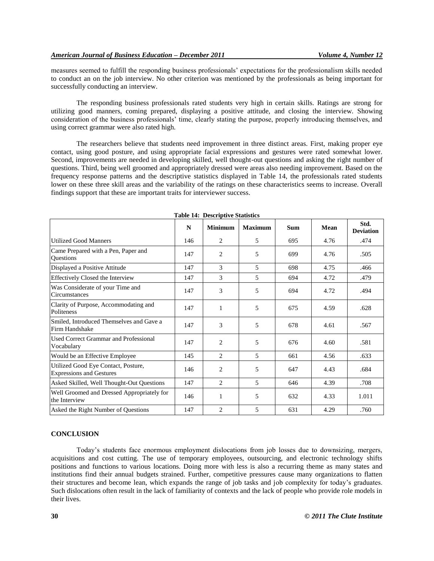measures seemed to fulfill the responding business professionals" expectations for the professionalism skills needed to conduct an on the job interview. No other criterion was mentioned by the professionals as being important for successfully conducting an interview.

The responding business professionals rated students very high in certain skills. Ratings are strong for utilizing good manners, coming prepared, displaying a positive attitude, and closing the interview. Showing consideration of the business professionals" time, clearly stating the purpose, properly introducing themselves, and using correct grammar were also rated high.

The researchers believe that students need improvement in three distinct areas. First, making proper eye contact, using good posture, and using appropriate facial expressions and gestures were rated somewhat lower. Second, improvements are needed in developing skilled, well thought-out questions and asking the right number of questions. Third, being well groomed and appropriately dressed were areas also needing improvement. Based on the frequency response patterns and the descriptive statistics displayed in Table 14, the professionals rated students lower on these three skill areas and the variability of the ratings on these characteristics seems to increase. Overall findings support that these are important traits for interviewer success.

|                                                                        | N   | <b>Minimum</b> | <b>Maximum</b> | <b>Sum</b> | Mean | Std.<br><b>Deviation</b> |
|------------------------------------------------------------------------|-----|----------------|----------------|------------|------|--------------------------|
| <b>Utilized Good Manners</b>                                           | 146 | 2              | 5              | 695        | 4.76 | .474                     |
| Came Prepared with a Pen, Paper and<br>Questions                       | 147 | 2              | 5              | 699        | 4.76 | .505                     |
| Displayed a Positive Attitude                                          | 147 | 3              | 5              | 698        | 4.75 | .466                     |
| Effectively Closed the Interview                                       | 147 | 3              | 5              | 694        | 4.72 | .479                     |
| Was Considerate of your Time and<br>Circumstances                      | 147 | 3              | 5              | 694        | 4.72 | .494                     |
| Clarity of Purpose, Accommodating and<br>Politeness                    | 147 | 1              | 5              | 675        | 4.59 | .628                     |
| Smiled, Introduced Themselves and Gave a<br>Firm Handshake             | 147 | 3              | 5              | 678        | 4.61 | .567                     |
| Used Correct Grammar and Professional<br>Vocabulary                    | 147 | $\overline{c}$ | 5              | 676        | 4.60 | .581                     |
| Would be an Effective Employee                                         | 145 | 2              | 5              | 661        | 4.56 | .633                     |
| Utilized Good Eye Contact, Posture,<br><b>Expressions and Gestures</b> | 146 | 2              | 5              | 647        | 4.43 | .684                     |
| Asked Skilled, Well Thought-Out Questions                              | 147 | 2              | 5              | 646        | 4.39 | .708                     |
| Well Groomed and Dressed Appropriately for<br>the Interview            | 146 | $\mathbf{1}$   | 5              | 632        | 4.33 | 1.011                    |
| Asked the Right Number of Questions                                    | 147 | $\overline{2}$ | 5              | 631        | 4.29 | .760                     |

**Table 14: Descriptive Statistics**

# **CONCLUSION**

Today"s students face enormous employment dislocations from job losses due to downsizing, mergers, acquisitions and cost cutting. The use of temporary employees, outsourcing, and electronic technology shifts positions and functions to various locations. Doing more with less is also a recurring theme as many states and institutions find their annual budgets strained. Further, competitive pressures cause many organizations to flatten their structures and become lean, which expands the range of job tasks and job complexity for today"s graduates. Such dislocations often result in the lack of familiarity of contexts and the lack of people who provide role models in their lives.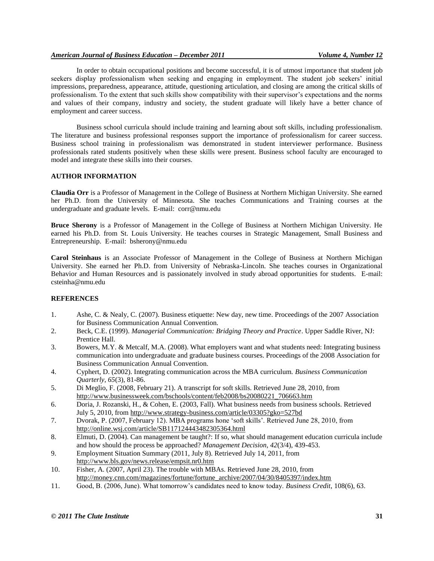# *American Journal of Business Education – December 2011 Volume 4, Number 12*

In order to obtain occupational positions and become successful, it is of utmost importance that student job seekers display professionalism when seeking and engaging in employment. The student job seekers' initial impressions, preparedness, appearance, attitude, questioning articulation, and closing are among the critical skills of professionalism. To the extent that such skills show compatibility with their supervisor"s expectations and the norms and values of their company, industry and society, the student graduate will likely have a better chance of employment and career success.

Business school curricula should include training and learning about soft skills, including professionalism. The literature and business professional responses support the importance of professionalism for career success. Business school training in professionalism was demonstrated in student interviewer performance. Business professionals rated students positively when these skills were present. Business school faculty are encouraged to model and integrate these skills into their courses.

# **AUTHOR INFORMATION**

**Claudia Orr** is a Professor of Management in the College of Business at Northern Michigan University. She earned her Ph.D. from the University of Minnesota. She teaches Communications and Training courses at the undergraduate and graduate levels. E-mail: corr@nmu.edu

**Bruce Sherony** is a Professor of Management in the College of Business at Northern Michigan University. He earned his Ph.D. from St. Louis University. He teaches courses in Strategic Management, Small Business and Entrepreneurship. E-mail: bsherony@nmu.edu

**Carol Steinhaus** is an Associate Professor of Management in the College of Business at Northern Michigan University. She earned her Ph.D. from University of Nebraska-Lincoln. She teaches courses in Organizational Behavior and Human Resources and is passionately involved in study abroad opportunities for students. E-mail: csteinha@nmu.edu

# **REFERENCES**

- 1. Ashe, C. & Nealy, C. (2007). Business etiquette: New day, new time. Proceedings of the 2007 Association for Business Communication Annual Convention.
- 2. Beck, C.E. (1999). *Managerial Communication: Bridging Theory and Practice*. Upper Saddle River, NJ: Prentice Hall.
- 3. Bowers, M.Y. & Metcalf, M.A. (2008). What employers want and what students need: Integrating business communication into undergraduate and graduate business courses. Proceedings of the 2008 Association for Business Communication Annual Convention.
- 4. Cyphert, D. (2002). Integrating communication across the MBA curriculum. *Business Communication Quarterly, 65*(3), 81-86.
- 5. Di Meglio, F. (2008, February 21). A transcript for soft skills. Retrieved June 28, 2010, from [http://www.businessweek.com/bschools/content/feb2008/bs20080221\\_706663.htm](http://www.businessweek.com/bschools/content/feb2008/bs20080221_706663.htm)
- 6. Doria, J. Rozanski, H., & Cohen, E. (2003, Fall). What business needs from business schools. Retrieved July 5, 2010, from<http://www.strategy-business.com/article/03305?gko=527bd>
- 7. Dvorak, P. (2007, February 12). MBA programs hone "soft skills". Retrieved June 28, 2010, from <http://online.wsj.com/article/SB117124443482305364.html>
- 8. Elmuti, D. (2004). Can management be taught?: If so, what should management education curricula include and how should the process be approached? *Management Decision, 42*(3/4), 439-453.
- 9. Employment Situation Summary (2011, July 8). Retrieved July 14, 2011, from <http://www.bls.gov/news.release/empsit.nr0.htm>
- 10. Fisher, A. (2007, April 23). The trouble with MBAs. Retrieved June 28, 2010, from [http://money.cnn.com/magazines/fortune/fortune\\_archive/2007/04/30/8405397/index.htm](http://money.cnn.com/magazines/fortune/fortune_archive/2007/04/30/8405397/index.htm)
- 11. Good, B. (2006, June). What tomorrow"s candidates need to know today. *Business Credit*, 108(6), 63.